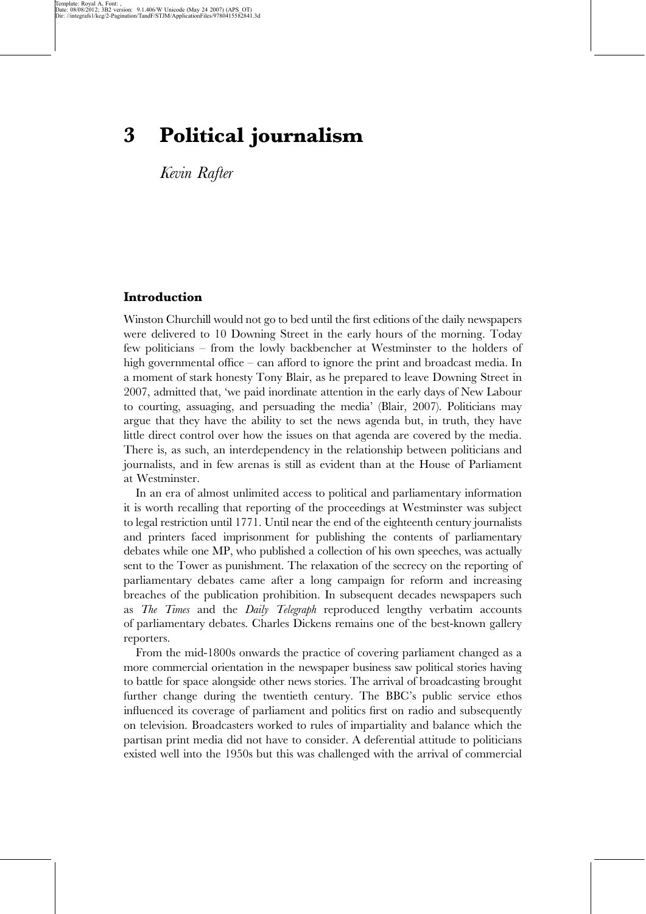# 3 Political journalism

Kevin Rafter

## Introduction

Winston Churchill would not go to bed until the first editions of the daily newspapers were delivered to 10 Downing Street in the early hours of the morning. Today few politicians – from the lowly backbencher at Westminster to the holders of high governmental office – can afford to ignore the print and broadcast media. In a moment of stark honesty Tony Blair, as he prepared to leave Downing Street in 2007, admitted that, 'we paid inordinate attention in the early days of New Labour to courting, assuaging, and persuading the media' (Blair, 2007). Politicians may argue that they have the ability to set the news agenda but, in truth, they have little direct control over how the issues on that agenda are covered by the media. There is, as such, an interdependency in the relationship between politicians and journalists, and in few arenas is still as evident than at the House of Parliament at Westminster.

In an era of almost unlimited access to political and parliamentary information it is worth recalling that reporting of the proceedings at Westminster was subject to legal restriction until 1771. Until near the end of the eighteenth century journalists and printers faced imprisonment for publishing the contents of parliamentary debates while one MP, who published a collection of his own speeches, was actually sent to the Tower as punishment. The relaxation of the secrecy on the reporting of parliamentary debates came after a long campaign for reform and increasing breaches of the publication prohibition. In subsequent decades newspapers such as The Times and the Daily Telegraph reproduced lengthy verbatim accounts of parliamentary debates. Charles Dickens remains one of the best-known gallery reporters.

From the mid-1800s onwards the practice of covering parliament changed as a more commercial orientation in the newspaper business saw political stories having to battle for space alongside other news stories. The arrival of broadcasting brought further change during the twentieth century. The BBC's public service ethos influenced its coverage of parliament and politics first on radio and subsequently on television. Broadcasters worked to rules of impartiality and balance which the partisan print media did not have to consider. A deferential attitude to politicians existed well into the 1950s but this was challenged with the arrival of commercial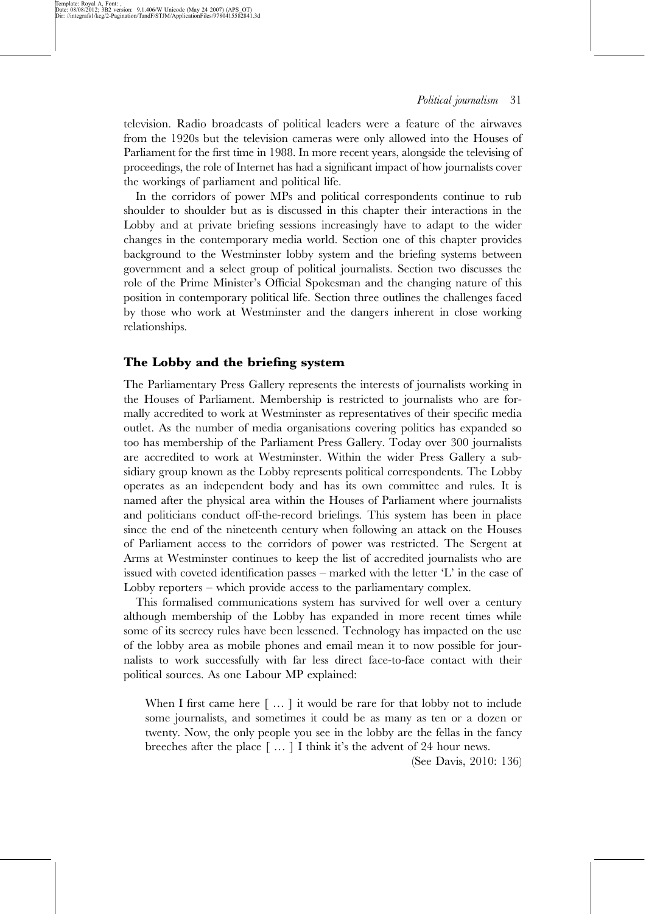television. Radio broadcasts of political leaders were a feature of the airwaves from the 1920s but the television cameras were only allowed into the Houses of Parliament for the first time in 1988. In more recent years, alongside the televising of proceedings, the role of Internet has had a significant impact of how journalists cover the workings of parliament and political life.

In the corridors of power MPs and political correspondents continue to rub shoulder to shoulder but as is discussed in this chapter their interactions in the Lobby and at private briefing sessions increasingly have to adapt to the wider changes in the contemporary media world. Section one of this chapter provides background to the Westminster lobby system and the briefing systems between government and a select group of political journalists. Section two discusses the role of the Prime Minister's Official Spokesman and the changing nature of this position in contemporary political life. Section three outlines the challenges faced by those who work at Westminster and the dangers inherent in close working relationships.

#### The Lobby and the briefing system

The Parliamentary Press Gallery represents the interests of journalists working in the Houses of Parliament. Membership is restricted to journalists who are formally accredited to work at Westminster as representatives of their specific media outlet. As the number of media organisations covering politics has expanded so too has membership of the Parliament Press Gallery. Today over 300 journalists are accredited to work at Westminster. Within the wider Press Gallery a subsidiary group known as the Lobby represents political correspondents. The Lobby operates as an independent body and has its own committee and rules. It is named after the physical area within the Houses of Parliament where journalists and politicians conduct off-the-record briefings. This system has been in place since the end of the nineteenth century when following an attack on the Houses of Parliament access to the corridors of power was restricted. The Sergent at Arms at Westminster continues to keep the list of accredited journalists who are issued with coveted identification passes – marked with the letter  $L'$  in the case of Lobby reporters – which provide access to the parliamentary complex.

This formalised communications system has survived for well over a century although membership of the Lobby has expanded in more recent times while some of its secrecy rules have been lessened. Technology has impacted on the use of the lobby area as mobile phones and email mean it to now possible for journalists to work successfully with far less direct face-to-face contact with their political sources. As one Labour MP explained:

When I first came here [...] it would be rare for that lobby not to include some journalists, and sometimes it could be as many as ten or a dozen or twenty. Now, the only people you see in the lobby are the fellas in the fancy breeches after the place  $\lceil \dots \rceil$  I think it's the advent of 24 hour news.

(See Davis, 2010: 136)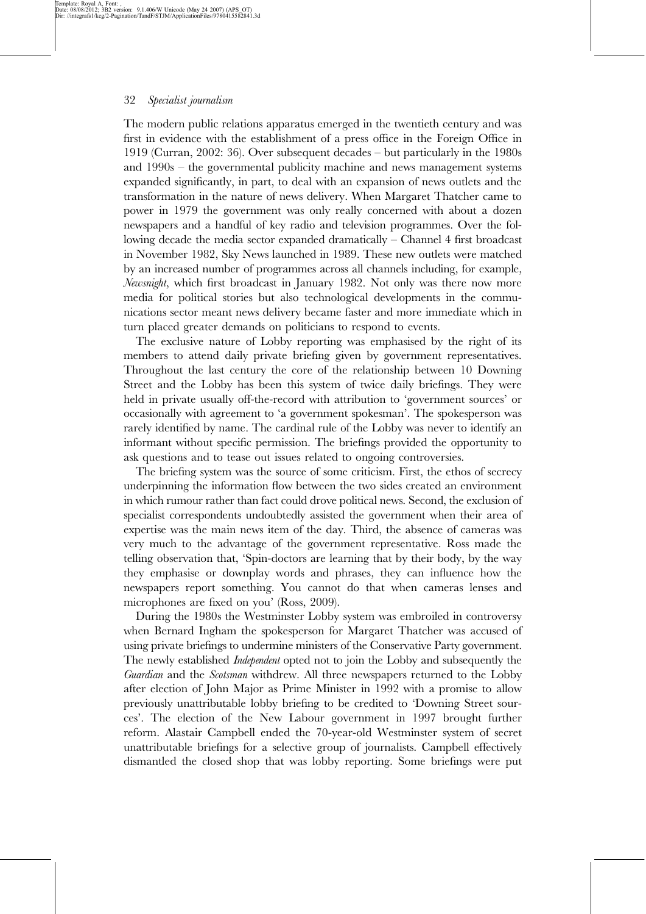The modern public relations apparatus emerged in the twentieth century and was first in evidence with the establishment of a press office in the Foreign Office in 1919 (Curran, 2002: 36). Over subsequent decades – but particularly in the 1980s and 1990s – the governmental publicity machine and news management systems expanded significantly, in part, to deal with an expansion of news outlets and the transformation in the nature of news delivery. When Margaret Thatcher came to power in 1979 the government was only really concerned with about a dozen newspapers and a handful of key radio and television programmes. Over the following decade the media sector expanded dramatically – Channel 4 first broadcast in November 1982, Sky News launched in 1989. These new outlets were matched by an increased number of programmes across all channels including, for example, Newsnight, which first broadcast in January 1982. Not only was there now more media for political stories but also technological developments in the communications sector meant news delivery became faster and more immediate which in turn placed greater demands on politicians to respond to events.

The exclusive nature of Lobby reporting was emphasised by the right of its members to attend daily private briefing given by government representatives. Throughout the last century the core of the relationship between 10 Downing Street and the Lobby has been this system of twice daily briefings. They were held in private usually off-the-record with attribution to 'government sources' or occasionally with agreement to 'a government spokesman'. The spokesperson was rarely identified by name. The cardinal rule of the Lobby was never to identify an informant without specific permission. The briefings provided the opportunity to ask questions and to tease out issues related to ongoing controversies.

The briefing system was the source of some criticism. First, the ethos of secrecy underpinning the information flow between the two sides created an environment in which rumour rather than fact could drove political news. Second, the exclusion of specialist correspondents undoubtedly assisted the government when their area of expertise was the main news item of the day. Third, the absence of cameras was very much to the advantage of the government representative. Ross made the telling observation that, 'Spin-doctors are learning that by their body, by the way they emphasise or downplay words and phrases, they can influence how the newspapers report something. You cannot do that when cameras lenses and microphones are fixed on you' (Ross, 2009).

During the 1980s the Westminster Lobby system was embroiled in controversy when Bernard Ingham the spokesperson for Margaret Thatcher was accused of using private briefings to undermine ministers of the Conservative Party government. The newly established *Independent* opted not to join the Lobby and subsequently the Guardian and the Scotsman withdrew. All three newspapers returned to the Lobby after election of John Major as Prime Minister in 1992 with a promise to allow previously unattributable lobby briefing to be credited to 'Downing Street sources'. The election of the New Labour government in 1997 brought further reform. Alastair Campbell ended the 70-year-old Westminster system of secret unattributable briefings for a selective group of journalists. Campbell effectively dismantled the closed shop that was lobby reporting. Some briefings were put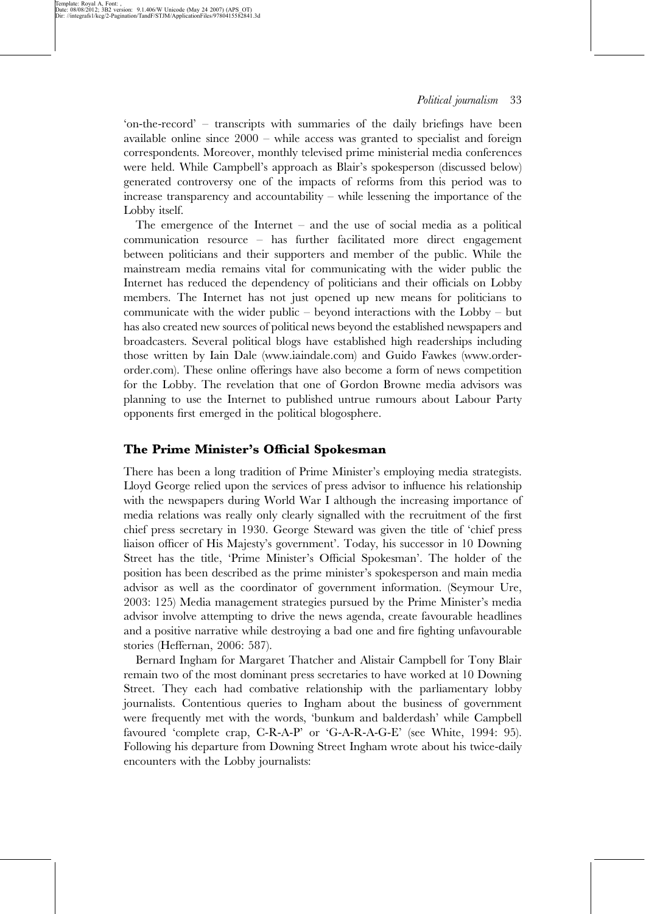'on-the-record' – transcripts with summaries of the daily briefings have been available online since 2000 – while access was granted to specialist and foreign correspondents. Moreover, monthly televised prime ministerial media conferences were held. While Campbell's approach as Blair's spokesperson (discussed below) generated controversy one of the impacts of reforms from this period was to increase transparency and accountability – while lessening the importance of the Lobby itself.

The emergence of the Internet – and the use of social media as a political communication resource – has further facilitated more direct engagement between politicians and their supporters and member of the public. While the mainstream media remains vital for communicating with the wider public the Internet has reduced the dependency of politicians and their officials on Lobby members. The Internet has not just opened up new means for politicians to communicate with the wider public – beyond interactions with the Lobby – but has also created new sources of political news beyond the established newspapers and broadcasters. Several political blogs have established high readerships including those written by Iain Dale (www.iaindale.com) and Guido Fawkes (www.orderorder.com). These online offerings have also become a form of news competition for the Lobby. The revelation that one of Gordon Browne media advisors was planning to use the Internet to published untrue rumours about Labour Party opponents first emerged in the political blogosphere.

## The Prime Minister's Official Spokesman

There has been a long tradition of Prime Minister's employing media strategists. Lloyd George relied upon the services of press advisor to influence his relationship with the newspapers during World War I although the increasing importance of media relations was really only clearly signalled with the recruitment of the first chief press secretary in 1930. George Steward was given the title of 'chief press liaison officer of His Majesty's government'. Today, his successor in 10 Downing Street has the title, 'Prime Minister's Official Spokesman'. The holder of the position has been described as the prime minister's spokesperson and main media advisor as well as the coordinator of government information. (Seymour Ure, 2003: 125) Media management strategies pursued by the Prime Minister's media advisor involve attempting to drive the news agenda, create favourable headlines and a positive narrative while destroying a bad one and fire fighting unfavourable stories (Heffernan, 2006: 587).

Bernard Ingham for Margaret Thatcher and Alistair Campbell for Tony Blair remain two of the most dominant press secretaries to have worked at 10 Downing Street. They each had combative relationship with the parliamentary lobby journalists. Contentious queries to Ingham about the business of government were frequently met with the words, 'bunkum and balderdash' while Campbell favoured 'complete crap, C-R-A-P' or 'G-A-R-A-G-E' (see White, 1994: 95). Following his departure from Downing Street Ingham wrote about his twice-daily encounters with the Lobby journalists: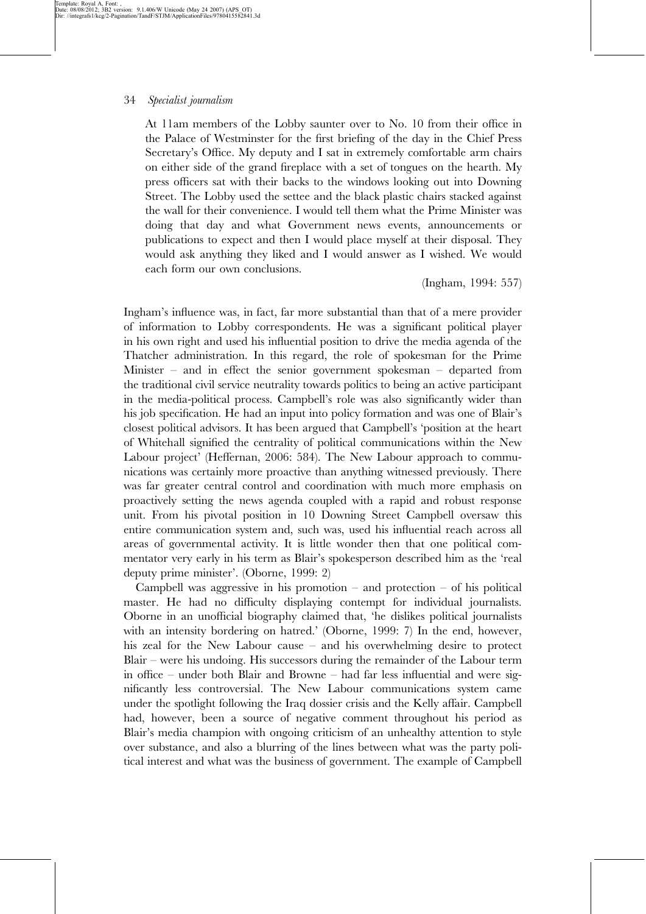Template: Royal A, Font: ,<br>Date: 08/08/2012; 3B2 version: 9.1.406/W Unicode (May 24 2007) (APS\_OT)<br>Dir: //integrafs1/kcg/2-Pagination/TandF/STJM/ApplicationFiles/9780415582841.3d

At 11am members of the Lobby saunter over to No. 10 from their office in the Palace of Westminster for the first briefing of the day in the Chief Press Secretary's Office. My deputy and I sat in extremely comfortable arm chairs on either side of the grand fireplace with a set of tongues on the hearth. My press officers sat with their backs to the windows looking out into Downing Street. The Lobby used the settee and the black plastic chairs stacked against the wall for their convenience. I would tell them what the Prime Minister was doing that day and what Government news events, announcements or publications to expect and then I would place myself at their disposal. They would ask anything they liked and I would answer as I wished. We would each form our own conclusions.

(Ingham, 1994: 557)

Ingham's influence was, in fact, far more substantial than that of a mere provider of information to Lobby correspondents. He was a significant political player in his own right and used his influential position to drive the media agenda of the Thatcher administration. In this regard, the role of spokesman for the Prime Minister – and in effect the senior government spokesman – departed from the traditional civil service neutrality towards politics to being an active participant in the media-political process. Campbell's role was also significantly wider than his job specification. He had an input into policy formation and was one of Blair's closest political advisors. It has been argued that Campbell's 'position at the heart of Whitehall signified the centrality of political communications within the New Labour project' (Heffernan, 2006: 584). The New Labour approach to communications was certainly more proactive than anything witnessed previously. There was far greater central control and coordination with much more emphasis on proactively setting the news agenda coupled with a rapid and robust response unit. From his pivotal position in 10 Downing Street Campbell oversaw this entire communication system and, such was, used his influential reach across all areas of governmental activity. It is little wonder then that one political commentator very early in his term as Blair's spokesperson described him as the 'real deputy prime minister'. (Oborne, 1999: 2)

Campbell was aggressive in his promotion – and protection – of his political master. He had no difficulty displaying contempt for individual journalists. Oborne in an unofficial biography claimed that, 'he dislikes political journalists with an intensity bordering on hatred.' (Oborne, 1999: 7) In the end, however, his zeal for the New Labour cause – and his overwhelming desire to protect Blair – were his undoing. His successors during the remainder of the Labour term in office – under both Blair and Browne – had far less influential and were significantly less controversial. The New Labour communications system came under the spotlight following the Iraq dossier crisis and the Kelly affair. Campbell had, however, been a source of negative comment throughout his period as Blair's media champion with ongoing criticism of an unhealthy attention to style over substance, and also a blurring of the lines between what was the party political interest and what was the business of government. The example of Campbell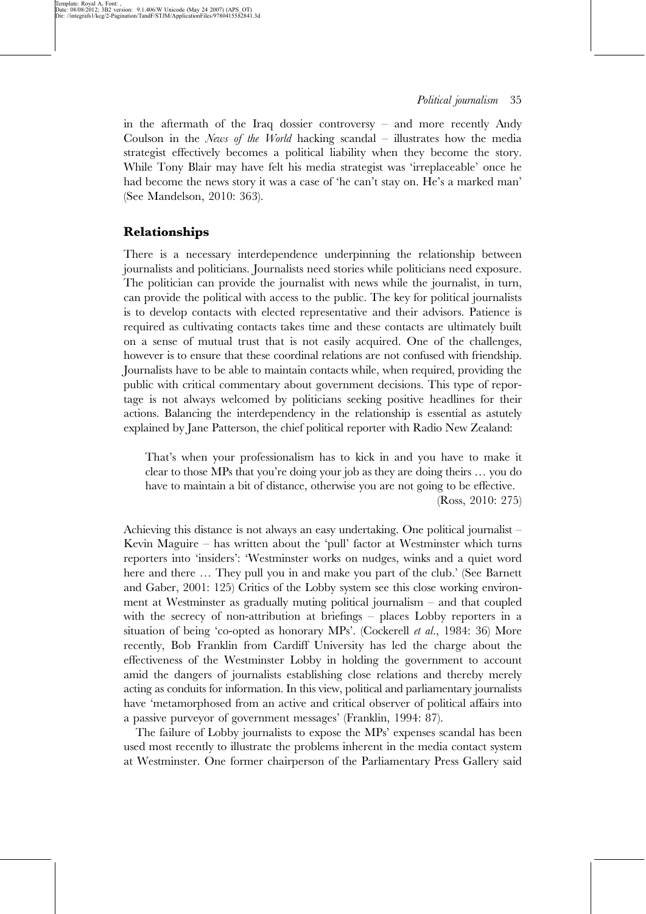in the aftermath of the Iraq dossier controversy – and more recently Andy Coulson in the News of the World hacking scandal – illustrates how the media strategist effectively becomes a political liability when they become the story. While Tony Blair may have felt his media strategist was 'irreplaceable' once he had become the news story it was a case of 'he can't stay on. He's a marked man' (See Mandelson, 2010: 363).

## Relationships

There is a necessary interdependence underpinning the relationship between journalists and politicians. Journalists need stories while politicians need exposure. The politician can provide the journalist with news while the journalist, in turn, can provide the political with access to the public. The key for political journalists is to develop contacts with elected representative and their advisors. Patience is required as cultivating contacts takes time and these contacts are ultimately built on a sense of mutual trust that is not easily acquired. One of the challenges, however is to ensure that these coordinal relations are not confused with friendship. Journalists have to be able to maintain contacts while, when required, providing the public with critical commentary about government decisions. This type of reportage is not always welcomed by politicians seeking positive headlines for their actions. Balancing the interdependency in the relationship is essential as astutely explained by Jane Patterson, the chief political reporter with Radio New Zealand:

That's when your professionalism has to kick in and you have to make it clear to those MPs that you're doing your job as they are doing theirs … you do have to maintain a bit of distance, otherwise you are not going to be effective. (Ross, 2010: 275)

Achieving this distance is not always an easy undertaking. One political journalist – Kevin Maguire – has written about the 'pull' factor at Westminster which turns reporters into 'insiders': 'Westminster works on nudges, winks and a quiet word here and there ... They pull you in and make you part of the club.' (See Barnett and Gaber, 2001: 125) Critics of the Lobby system see this close working environment at Westminster as gradually muting political journalism – and that coupled with the secrecy of non-attribution at briefings – places Lobby reporters in a situation of being 'co-opted as honorary MPs'. (Cockerell et al., 1984: 36) More recently, Bob Franklin from Cardiff University has led the charge about the effectiveness of the Westminster Lobby in holding the government to account amid the dangers of journalists establishing close relations and thereby merely acting as conduits for information. In this view, political and parliamentary journalists have 'metamorphosed from an active and critical observer of political affairs into a passive purveyor of government messages' (Franklin, 1994: 87).

The failure of Lobby journalists to expose the MPs' expenses scandal has been used most recently to illustrate the problems inherent in the media contact system at Westminster. One former chairperson of the Parliamentary Press Gallery said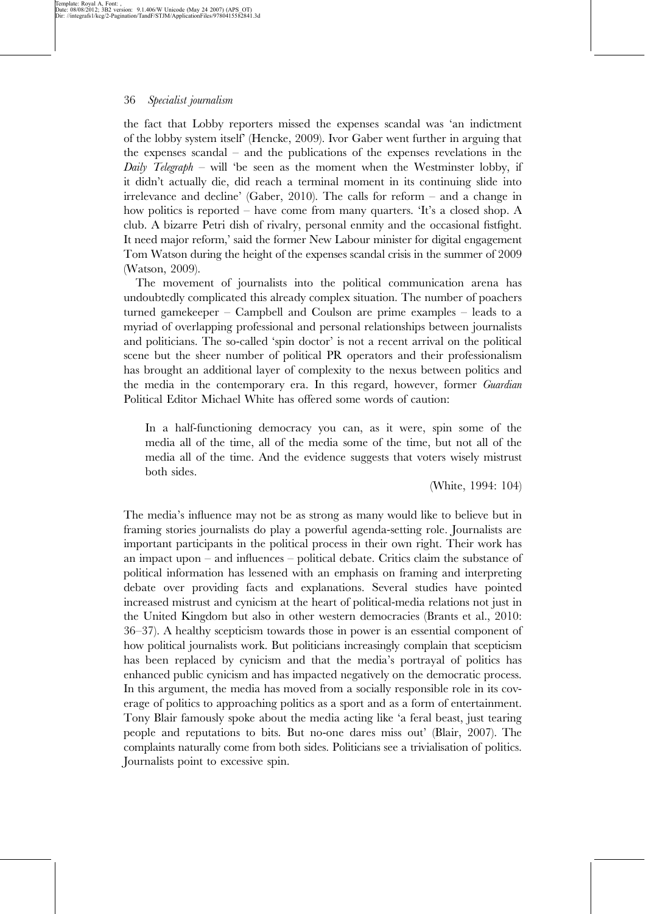the fact that Lobby reporters missed the expenses scandal was 'an indictment of the lobby system itself' (Hencke, 2009). Ivor Gaber went further in arguing that the expenses scandal – and the publications of the expenses revelations in the Daily Telegraph – will 'be seen as the moment when the Westminster lobby, if it didn't actually die, did reach a terminal moment in its continuing slide into irrelevance and decline' (Gaber, 2010). The calls for reform – and a change in how politics is reported – have come from many quarters. 'It's a closed shop. A club. A bizarre Petri dish of rivalry, personal enmity and the occasional fistfight. It need major reform,' said the former New Labour minister for digital engagement Tom Watson during the height of the expenses scandal crisis in the summer of 2009 (Watson, 2009).

The movement of journalists into the political communication arena has undoubtedly complicated this already complex situation. The number of poachers turned gamekeeper – Campbell and Coulson are prime examples – leads to a myriad of overlapping professional and personal relationships between journalists and politicians. The so-called 'spin doctor' is not a recent arrival on the political scene but the sheer number of political PR operators and their professionalism has brought an additional layer of complexity to the nexus between politics and the media in the contemporary era. In this regard, however, former Guardian Political Editor Michael White has offered some words of caution:

In a half-functioning democracy you can, as it were, spin some of the media all of the time, all of the media some of the time, but not all of the media all of the time. And the evidence suggests that voters wisely mistrust both sides.

(White, 1994: 104)

The media's influence may not be as strong as many would like to believe but in framing stories journalists do play a powerful agenda-setting role. Journalists are important participants in the political process in their own right. Their work has an impact upon – and influences – political debate. Critics claim the substance of political information has lessened with an emphasis on framing and interpreting debate over providing facts and explanations. Several studies have pointed increased mistrust and cynicism at the heart of political-media relations not just in the United Kingdom but also in other western democracies (Brants et al., 2010: 36–37). A healthy scepticism towards those in power is an essential component of how political journalists work. But politicians increasingly complain that scepticism has been replaced by cynicism and that the media's portrayal of politics has enhanced public cynicism and has impacted negatively on the democratic process. In this argument, the media has moved from a socially responsible role in its coverage of politics to approaching politics as a sport and as a form of entertainment. Tony Blair famously spoke about the media acting like 'a feral beast, just tearing people and reputations to bits. But no-one dares miss out' (Blair, 2007). The complaints naturally come from both sides. Politicians see a trivialisation of politics. Journalists point to excessive spin.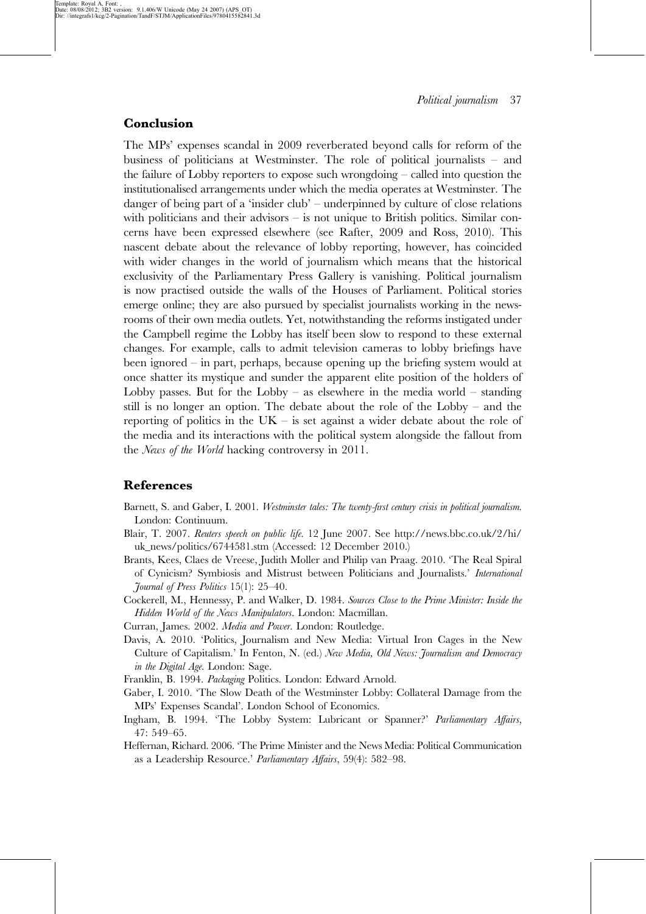## Conclusion

The MPs' expenses scandal in 2009 reverberated beyond calls for reform of the business of politicians at Westminster. The role of political journalists – and the failure of Lobby reporters to expose such wrongdoing – called into question the institutionalised arrangements under which the media operates at Westminster. The danger of being part of a 'insider club' – underpinned by culture of close relations with politicians and their advisors – is not unique to British politics. Similar concerns have been expressed elsewhere (see Rafter, 2009 and Ross, 2010). This nascent debate about the relevance of lobby reporting, however, has coincided with wider changes in the world of journalism which means that the historical exclusivity of the Parliamentary Press Gallery is vanishing. Political journalism is now practised outside the walls of the Houses of Parliament. Political stories emerge online; they are also pursued by specialist journalists working in the newsrooms of their own media outlets. Yet, notwithstanding the reforms instigated under the Campbell regime the Lobby has itself been slow to respond to these external changes. For example, calls to admit television cameras to lobby briefings have been ignored – in part, perhaps, because opening up the briefing system would at once shatter its mystique and sunder the apparent elite position of the holders of Lobby passes. But for the Lobby – as elsewhere in the media world – standing still is no longer an option. The debate about the role of the Lobby – and the reporting of politics in the  $UK -$  is set against a wider debate about the role of the media and its interactions with the political system alongside the fallout from the *News of the World* hacking controversy in 2011.

## References

- Barnett, S. and Gaber, I. 2001. Westminster tales: The twenty-first century crisis in political journalism. London: Continuum.
- Blair, T. 2007. Reuters speech on public life. 12 June 2007. See http://news.bbc.co.uk/2/hi/ uk\_news/politics/6744581.stm (Accessed: 12 December 2010.)
- Brants, Kees, Claes de Vreese, Judith Moller and Philip van Praag. 2010. 'The Real Spiral of Cynicism? Symbiosis and Mistrust between Politicians and Journalists.' International Journal of Press Politics 15(1): 25–40.
- Cockerell, M., Hennessy, P. and Walker, D. 1984. Sources Close to the Prime Minister: Inside the Hidden World of the News Manipulators. London: Macmillan.
- Curran, James. 2002. Media and Power. London: Routledge.
- Davis, A. 2010. 'Politics, Journalism and New Media: Virtual Iron Cages in the New Culture of Capitalism.' In Fenton, N. (ed.) New Media, Old News: Journalism and Democracy in the Digital Age. London: Sage.
- Franklin, B. 1994. Packaging Politics. London: Edward Arnold.
- Gaber, I. 2010. 'The Slow Death of the Westminster Lobby: Collateral Damage from the MPs' Expenses Scandal'. London School of Economics.
- Ingham, B. 1994. 'The Lobby System: Lubricant or Spanner?' Parliamentary Affairs, 47: 549–65.
- Heffernan, Richard. 2006. 'The Prime Minister and the News Media: Political Communication as a Leadership Resource.' Parliamentary Affairs, 59(4): 582–98.